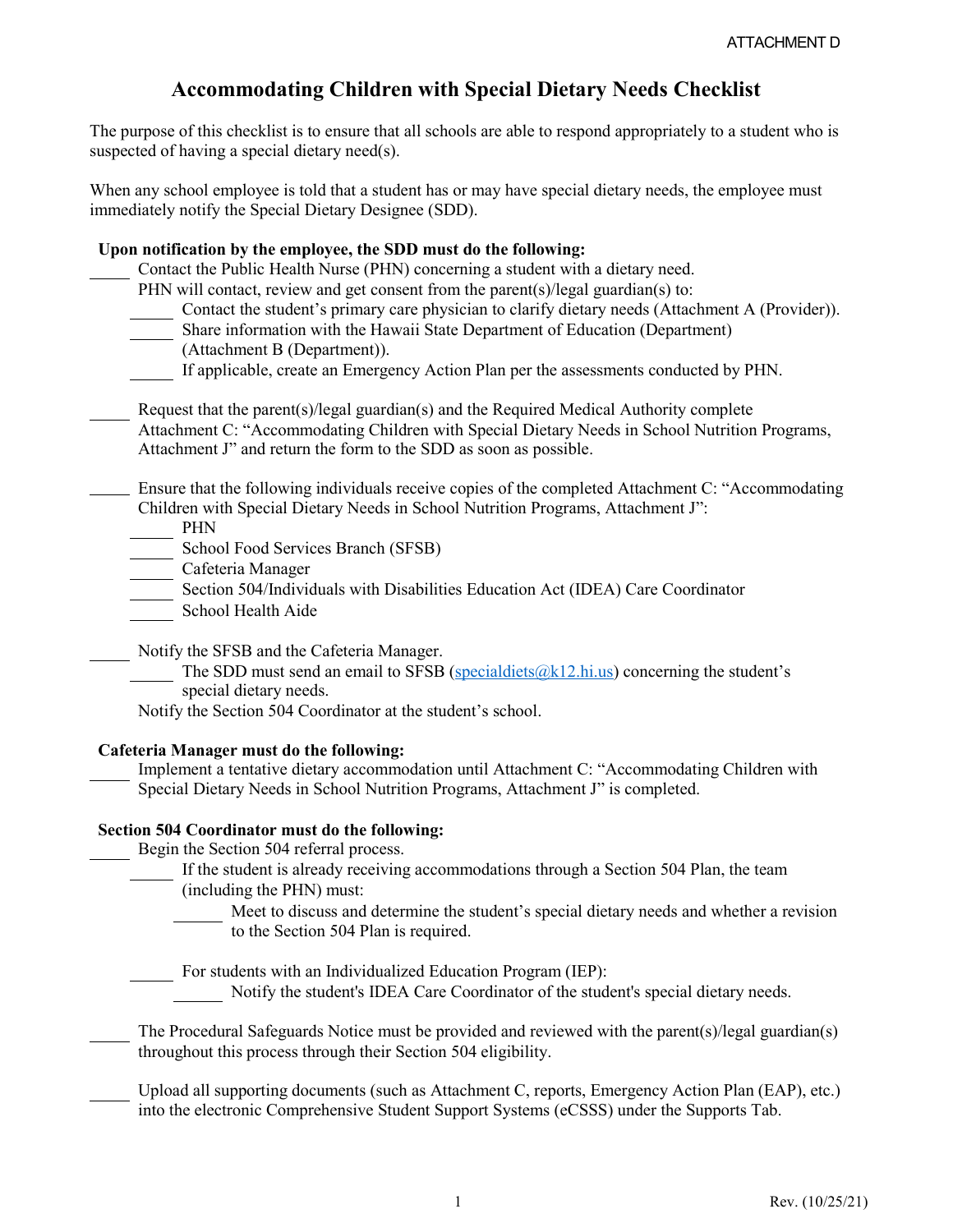# **Accommodating Children with Special Dietary Needs Checklist**

The purpose of this checklist is to ensure that all schools are able to respond appropriately to a student who is suspected of having a special dietary need(s).

When any school employee is told that a student has or may have special dietary needs, the employee must immediately notify the Special Dietary Designee (SDD).

#### **Upon notification by the employee, the SDD must do the following:**

Contact the Public Health Nurse (PHN) concerning a student with a dietary need.

- PHN will contact, review and get consent from the parent(s)/legal guardian(s) to:
- Contact the student's primary care physician to clarify dietary needs (Attachment A (Provider)).
- Share information with the Hawaii State Department of Education (Department)
- (Attachment B (Department)).
- If applicable, create an Emergency Action Plan per the assessments conducted by PHN.

Request that the parent(s)/legal guardian(s) and the Required Medical Authority complete Attachment C: "Accommodating Children with Special Dietary Needs in School Nutrition Programs, Attachment J" and return the form to the SDD as soon as possible.

Ensure that the following individuals receive copies of the completed Attachment C: "Accommodating Children with Special Dietary Needs in School Nutrition Programs, Attachment J":

PHN

School Food Services Branch (SFSB)

Cafeteria Manager

Section 504/Individuals with Disabilities Education Act (IDEA) Care Coordinator

School Health Aide

Notify the SFSB and the Cafeteria Manager.

The SDD must send an email to SFSB ( $specialdicts@k12.hi.us$ ) concerning the student's special dietary needs.

Notify the Section 504 Coordinator at the student's school.

#### **Cafeteria Manager must do the following:**

Implement a tentative dietary accommodation until Attachment C: "Accommodating Children with Special Dietary Needs in School Nutrition Programs, Attachment J" is completed.

## **Section 504 Coordinator must do the following:**

Begin the Section 504 referral process.

- If the student is already receiving accommodations through a Section 504 Plan, the team (including the PHN) must:
	- Meet to discuss and determine the student's special dietary needs and whether a revision to the Section 504 Plan is required.

For students with an Individualized Education Program (IEP):

Notify the student's IDEA Care Coordinator of the student's special dietary needs.

The Procedural Safeguards Notice must be provided and reviewed with the parent(s)/legal guardian(s) throughout this process through their Section 504 eligibility.

Upload all supporting documents (such as Attachment C, reports, Emergency Action Plan (EAP), etc.) into the electronic Comprehensive Student Support Systems (eCSSS) under the Supports Tab.